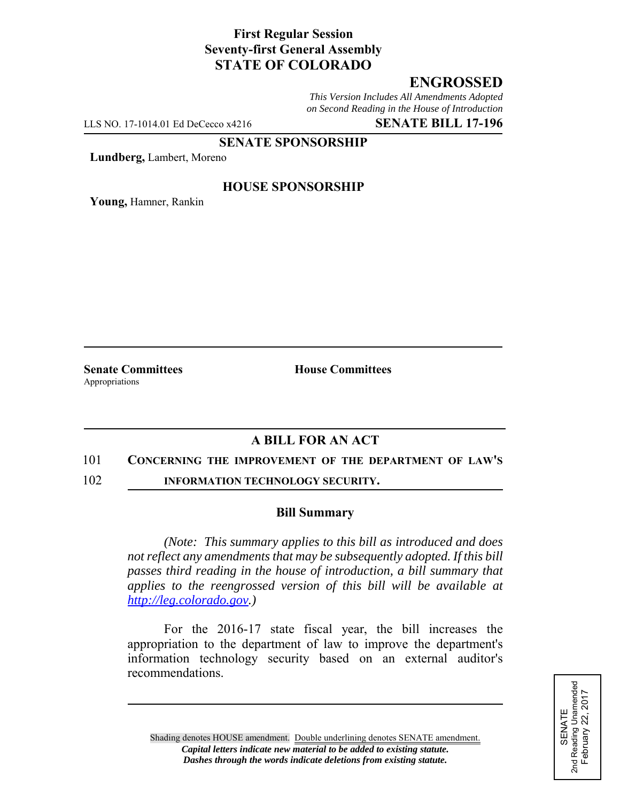# **First Regular Session Seventy-first General Assembly STATE OF COLORADO**

# **ENGROSSED**

*This Version Includes All Amendments Adopted on Second Reading in the House of Introduction*

LLS NO. 17-1014.01 Ed DeCecco x4216 **SENATE BILL 17-196**

#### **SENATE SPONSORSHIP**

**Lundberg,** Lambert, Moreno

### **HOUSE SPONSORSHIP**

**Young,** Hamner, Rankin

Appropriations

**Senate Committees House Committees** 

## **A BILL FOR AN ACT**

#### 101 **CONCERNING THE IMPROVEMENT OF THE DEPARTMENT OF LAW'S**

102 **INFORMATION TECHNOLOGY SECURITY.**

#### **Bill Summary**

*(Note: This summary applies to this bill as introduced and does not reflect any amendments that may be subsequently adopted. If this bill passes third reading in the house of introduction, a bill summary that applies to the reengrossed version of this bill will be available at http://leg.colorado.gov.)*

For the 2016-17 state fiscal year, the bill increases the appropriation to the department of law to improve the department's information technology security based on an external auditor's recommendations.

SENATE<br>2nd Reading Unamended<br>February 22, 2017 2nd Reading Unamended February 22, 2017

Shading denotes HOUSE amendment. Double underlining denotes SENATE amendment. *Capital letters indicate new material to be added to existing statute. Dashes through the words indicate deletions from existing statute.*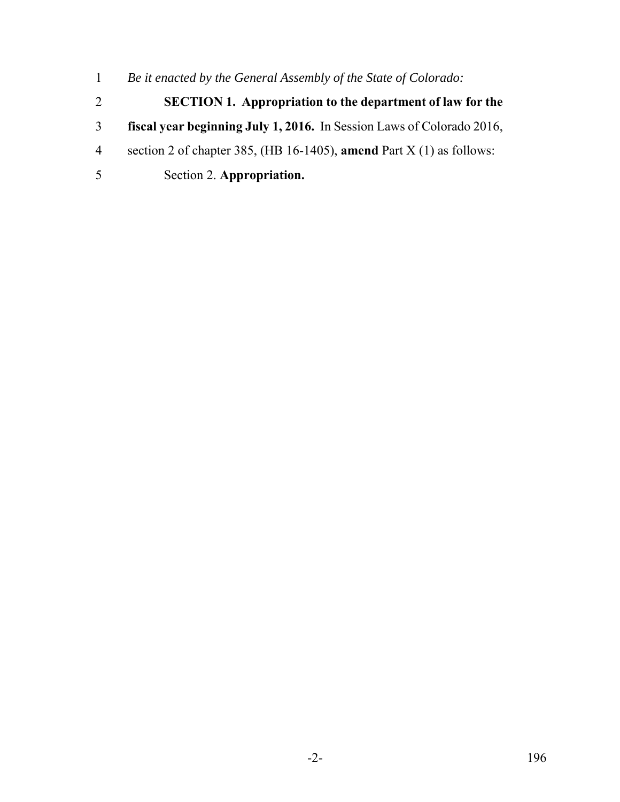- *Be it enacted by the General Assembly of the State of Colorado:*
- **SECTION 1. Appropriation to the department of law for the**
- **fiscal year beginning July 1, 2016.** In Session Laws of Colorado 2016,
- section 2 of chapter 385, (HB 16-1405), **amend** Part X (1) as follows:
- Section 2. **Appropriation.**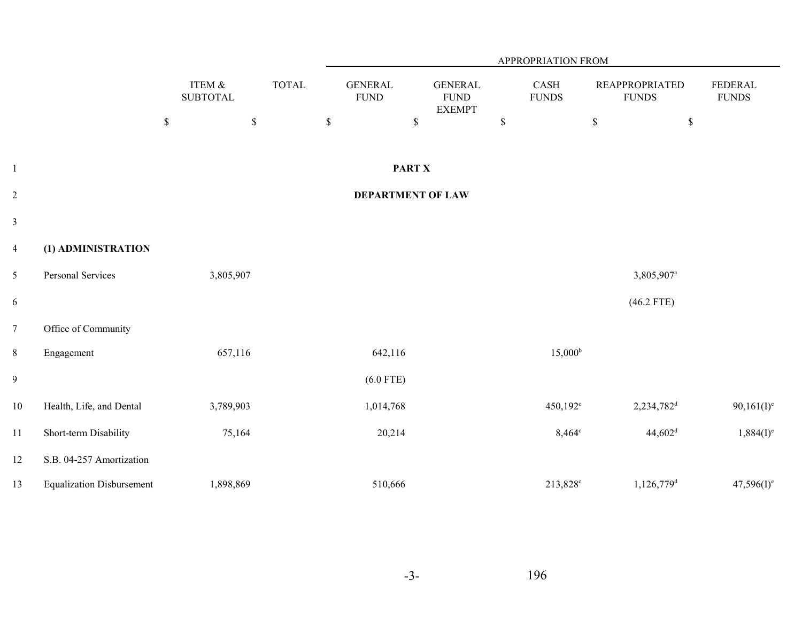|                         |                                  |                            |              | APPROPRIATION FROM            |                                                 |             |                      |                                       |                                |  |
|-------------------------|----------------------------------|----------------------------|--------------|-------------------------------|-------------------------------------------------|-------------|----------------------|---------------------------------------|--------------------------------|--|
|                         |                                  | ITEM &<br><b>SUBTOTAL</b>  | <b>TOTAL</b> | <b>GENERAL</b><br><b>FUND</b> | <b>GENERAL</b><br>${\rm FUND}$<br><b>EXEMPT</b> |             | CASH<br><b>FUNDS</b> | <b>REAPPROPRIATED</b><br><b>FUNDS</b> | <b>FEDERAL</b><br><b>FUNDS</b> |  |
|                         |                                  | $\mathbb S$<br>$\mathbb S$ |              | $\mathbb S$                   | $\mathbb S$                                     | $\mathbb S$ |                      | $\mathbb S$                           | $\mathbb{S}$                   |  |
| $\mathbf{1}$            |                                  |                            |              |                               | <b>PART X</b>                                   |             |                      |                                       |                                |  |
| $\overline{c}$          |                                  |                            |              |                               | <b>DEPARTMENT OF LAW</b>                        |             |                      |                                       |                                |  |
| $\overline{\mathbf{3}}$ |                                  |                            |              |                               |                                                 |             |                      |                                       |                                |  |
| $\overline{4}$          | (1) ADMINISTRATION               |                            |              |                               |                                                 |             |                      |                                       |                                |  |
| 5                       | Personal Services                | 3,805,907                  |              |                               |                                                 |             |                      | 3,805,907 <sup>a</sup>                |                                |  |
| 6                       |                                  |                            |              |                               |                                                 |             |                      | $(46.2$ FTE)                          |                                |  |
| $\overline{7}$          | Office of Community              |                            |              |                               |                                                 |             |                      |                                       |                                |  |
| $8\,$                   | Engagement                       | 657,116                    |              | 642,116                       |                                                 |             | $15,000^{\rm b}$     |                                       |                                |  |
| $\overline{9}$          |                                  |                            |              | $(6.0$ FTE)                   |                                                 |             |                      |                                       |                                |  |
| $10\,$                  | Health, Life, and Dental         | 3,789,903                  |              | 1,014,768                     |                                                 |             | 450,192 <sup>c</sup> | $2,234,782$ <sup>d</sup>              | $90,161(I)^e$                  |  |
| 11                      | Short-term Disability            | 75,164                     |              | 20,214                        |                                                 |             | $8,464^{\circ}$      | $44,602$ <sup>d</sup>                 | $1,884(I)^e$                   |  |
| $12\,$                  | S.B. 04-257 Amortization         |                            |              |                               |                                                 |             |                      |                                       |                                |  |
| 13                      | <b>Equalization Disbursement</b> | 1,898,869                  |              | 510,666                       |                                                 |             | 213,828 <sup>c</sup> | 1,126,779 <sup>d</sup>                | $47,596(1)^e$                  |  |

-3-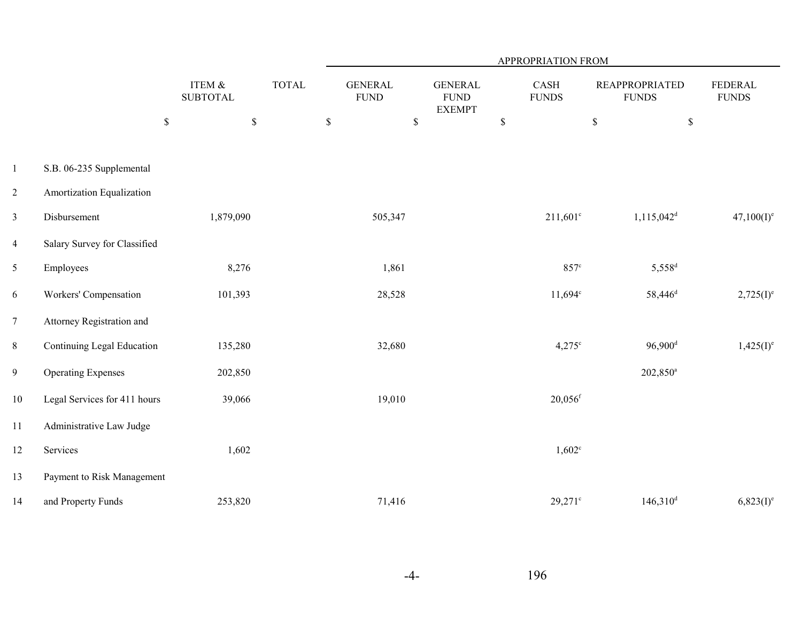|                 |                              |                            |              | APPROPRIATION FROM            |                                                |                       |                                       |                                |  |  |
|-----------------|------------------------------|----------------------------|--------------|-------------------------------|------------------------------------------------|-----------------------|---------------------------------------|--------------------------------|--|--|
|                 |                              | ITEM &<br><b>SUBTOTAL</b>  | <b>TOTAL</b> | <b>GENERAL</b><br><b>FUND</b> | <b>GENERAL</b><br><b>FUND</b><br><b>EXEMPT</b> | CASH<br><b>FUNDS</b>  | <b>REAPPROPRIATED</b><br><b>FUNDS</b> | <b>FEDERAL</b><br><b>FUNDS</b> |  |  |
|                 |                              | $\mathbb S$<br>$\mathbb S$ |              | $\mathbb S$<br>$\mathbb S$    |                                                | $\mathbb{S}$          | $\mathbb S$                           | $\mathbb S$                    |  |  |
| $\mathbf{1}$    | S.B. 06-235 Supplemental     |                            |              |                               |                                                |                       |                                       |                                |  |  |
| $\overline{c}$  | Amortization Equalization    |                            |              |                               |                                                |                       |                                       |                                |  |  |
| $\mathfrak{Z}$  | Disbursement                 | 1,879,090                  |              | 505,347                       |                                                | $211,601^c$           | $1,115,042$ <sup>d</sup>              | $47,100(I)^e$                  |  |  |
| $\overline{4}$  | Salary Survey for Classified |                            |              |                               |                                                |                       |                                       |                                |  |  |
| 5               | Employees                    | 8,276                      |              | 1,861                         |                                                | $857^{\circ}$         | 5,558 <sup>d</sup>                    |                                |  |  |
| 6               | Workers' Compensation        | 101,393                    |              | 28,528                        |                                                | $11,694^c$            | 58,446 <sup>d</sup>                   | $2,725(I)^e$                   |  |  |
| $7\phantom{.0}$ | Attorney Registration and    |                            |              |                               |                                                |                       |                                       |                                |  |  |
| $8\,$           | Continuing Legal Education   | 135,280                    |              | 32,680                        |                                                | $4,275^{\circ}$       | $96,900$ <sup>d</sup>                 | $1,425(I)^e$                   |  |  |
| 9               | <b>Operating Expenses</b>    | 202,850                    |              |                               |                                                |                       | 202,850 <sup>a</sup>                  |                                |  |  |
| 10              | Legal Services for 411 hours | 39,066                     |              | 19,010                        |                                                | $20,056$ <sup>f</sup> |                                       |                                |  |  |
| 11              | Administrative Law Judge     |                            |              |                               |                                                |                       |                                       |                                |  |  |
| 12              | Services                     | 1,602                      |              |                               |                                                | $1,602^{\circ}$       |                                       |                                |  |  |
| 13              | Payment to Risk Management   |                            |              |                               |                                                |                       |                                       |                                |  |  |
| 14              | and Property Funds           | 253,820                    |              | 71,416                        |                                                | $29,271$ c            | $146,310$ <sup>d</sup>                | $6,823(I)^e$                   |  |  |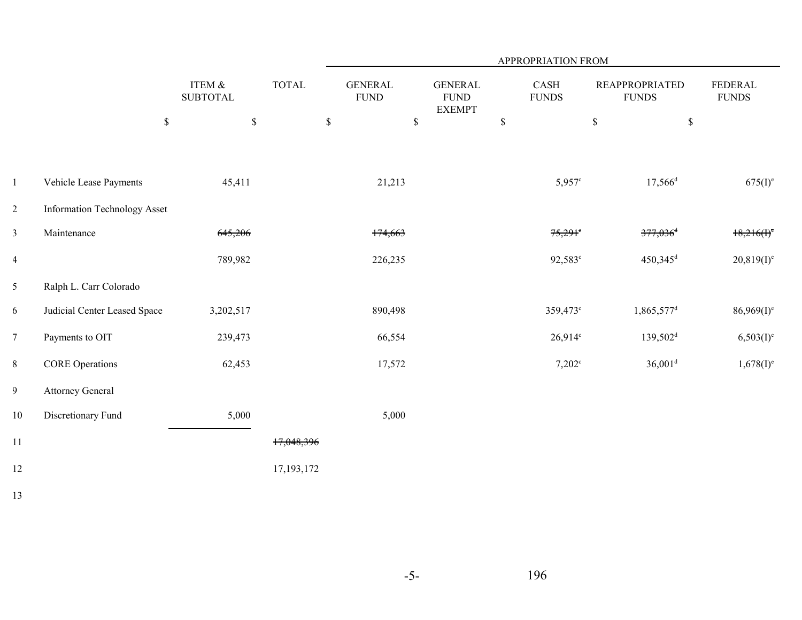|                |                                     |                           |              | APPROPRIATION FROM            |                                                 |             |                       |                                       |                               |  |
|----------------|-------------------------------------|---------------------------|--------------|-------------------------------|-------------------------------------------------|-------------|-----------------------|---------------------------------------|-------------------------------|--|
|                |                                     | ITEM &<br><b>SUBTOTAL</b> | <b>TOTAL</b> | <b>GENERAL</b><br><b>FUND</b> | <b>GENERAL</b><br>${\rm FUND}$<br><b>EXEMPT</b> |             | CASH<br><b>FUNDS</b>  | <b>REAPPROPRIATED</b><br><b>FUNDS</b> | <b>FEDERAL</b><br>$\rm FUNDS$ |  |
|                | $\mathbb S$                         | $\mathbb S$               | $\mathbb S$  | $\mathbb S$                   |                                                 | $\mathbb S$ |                       | $\mathbb S$                           | $\mathbb S$                   |  |
|                |                                     |                           |              |                               |                                                 |             |                       |                                       |                               |  |
| $\mathbf{1}$   | Vehicle Lease Payments              | 45,411                    |              | 21,213                        |                                                 |             | $5,957^{\circ}$       | $17,566$ <sup>d</sup>                 | $675(I)^e$                    |  |
| $\overline{2}$ | <b>Information Technology Asset</b> |                           |              |                               |                                                 |             |                       |                                       |                               |  |
| $\mathfrak{Z}$ | Maintenance                         | 645,206                   |              | 174,663                       |                                                 |             | $75,291$ <sup>e</sup> | $377,036$ <sup>d</sup>                | $18,216(f)^{\circ}$           |  |
| $\overline{4}$ |                                     | 789,982                   |              | 226,235                       |                                                 |             | 92,583 <sup>c</sup>   | $450,345$ <sup>d</sup>                | $20,819(I)^e$                 |  |
| 5              | Ralph L. Carr Colorado              |                           |              |                               |                                                 |             |                       |                                       |                               |  |
| 6              | Judicial Center Leased Space        | 3,202,517                 |              | 890,498                       |                                                 |             | 359,473 <sup>c</sup>  | 1,865,577 <sup>d</sup>                | $86,969(I)^e$                 |  |
| $\overline{7}$ | Payments to OIT                     | 239,473                   |              | 66,554                        |                                                 |             | $26,914^c$            | 139,502 <sup>d</sup>                  | $6,503(1)^e$                  |  |
| 8              | <b>CORE Operations</b>              | 62,453                    |              | 17,572                        |                                                 |             | $7,202^{\circ}$       | $36,001$ <sup>d</sup>                 | $1,678(I)^e$                  |  |
| 9              | <b>Attorney General</b>             |                           |              |                               |                                                 |             |                       |                                       |                               |  |
| $10\,$         | Discretionary Fund                  | 5,000                     |              | 5,000                         |                                                 |             |                       |                                       |                               |  |
| 11             |                                     |                           | 17,048,396   |                               |                                                 |             |                       |                                       |                               |  |
| 12             |                                     |                           | 17, 193, 172 |                               |                                                 |             |                       |                                       |                               |  |
| 13             |                                     |                           |              |                               |                                                 |             |                       |                                       |                               |  |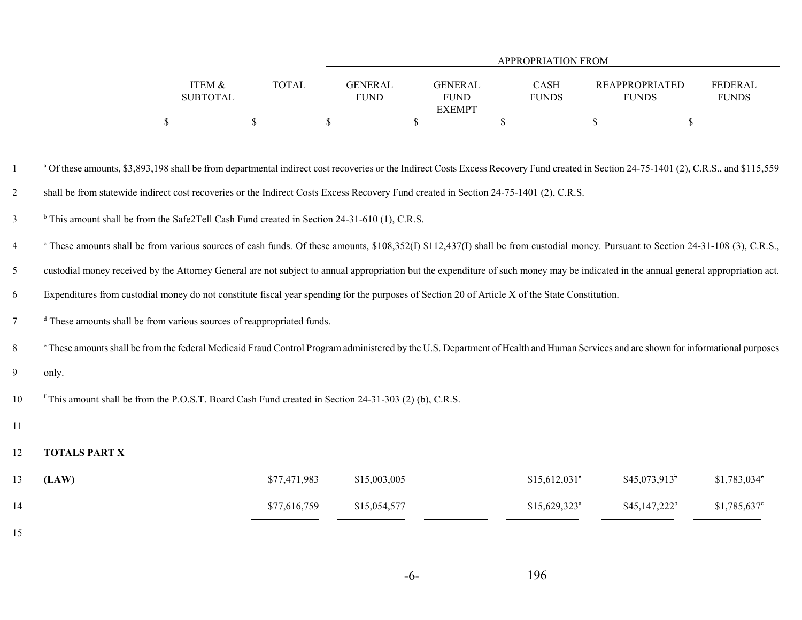|                 |              |                | APPROPRIATION FROM |              |                |              |  |  |  |  |
|-----------------|--------------|----------------|--------------------|--------------|----------------|--------------|--|--|--|--|
|                 |              |                |                    |              |                |              |  |  |  |  |
| ITEM &          | <b>TOTAL</b> | <b>GENERAL</b> | GENERAL            | CASH         | REAPPROPRIATED | FEDERAL      |  |  |  |  |
| <b>SUBTOTAL</b> |              | <b>FUND</b>    | <b>FUND</b>        | <b>FUNDS</b> | <b>FUNDS</b>   | <b>FUNDS</b> |  |  |  |  |
|                 |              |                | <b>EXEMPT</b>      |              |                |              |  |  |  |  |
|                 |              |                |                    |              |                |              |  |  |  |  |

<sup>a</sup> Of these amounts, \$3,893,198 shall be from departmental indirect cost recoveries or the Indirect Costs Excess Recovery Fund created in Section 24-75-1401 (2), C.R.S., and \$115,559 2shall be from statewide indirect cost recoveries or the Indirect Costs Excess Recovery Fund created in Section 24-75-1401 (2), C.R.S.

 $\beta$  This amount shall be from the Safe2Tell Cash Fund created in Section 24-31-610 (1), C.R.S.

<sup>4</sup> These amounts shall be from various sources of cash funds. Of these amounts,  $\frac{$108,352}{112,437}$  [12,437(I) shall be from custodial money. Pursuant to Section 24-31-108 (3), C.R.S.,

5custodial money received by the Attorney General are not subject to annual appropriation but the expenditure of such money may be indicated in the annual general appropriation act.

6Expenditures from custodial money do not constitute fiscal year spending for the purposes of Section 20 of Article X of the State Constitution.

<sup>d</sup> These amounts shall be from various sources of reappropriated funds.

e 8 These amounts shall be from the federal Medicaid Fraud Control Program administered by the U.S. Department of Health and Human Services and are shown for informational purposes

9only.

f 10 This amount shall be from the P.O.S.T. Board Cash Fund created in Section 24-31-303 (2) (b), C.R.S.

11

#### 12**TOTALS PART X**

| 13 | (LAW) | \$77,471,983 | \$15,003,005 | $$15,612,031$ <sup>*</sup> | <del>\$45,073,913</del> <sup>b</sup> | $$1,783,034^{\circ}$ |
|----|-------|--------------|--------------|----------------------------|--------------------------------------|----------------------|
| 14 |       | \$77,616,759 | \$15,054,577 | $$15,629,323$ <sup>a</sup> | $$45,147,222^b$                      | $$1,785,637^{\circ}$ |
| 15 |       |              |              |                            |                                      |                      |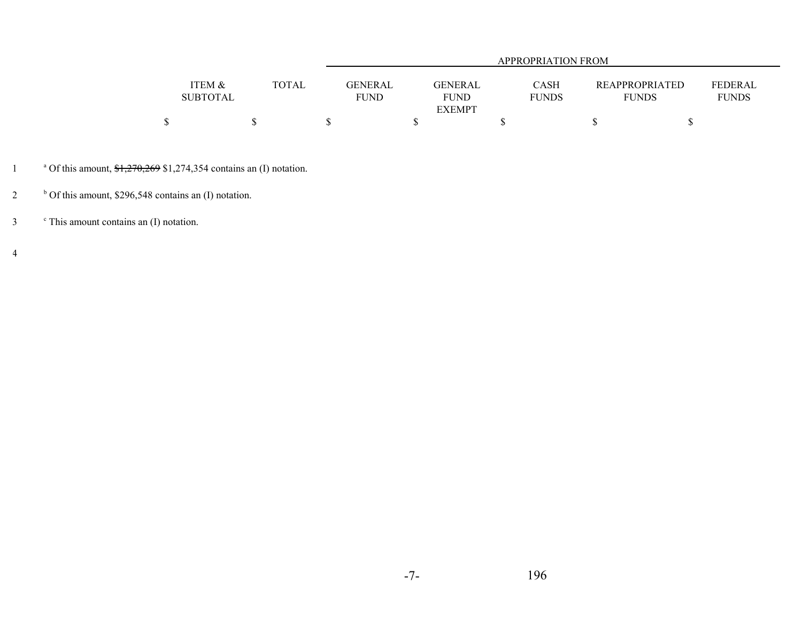|                 |                  | APPROPRIATION FROM |              |                       |              |  |  |  |  |
|-----------------|------------------|--------------------|--------------|-----------------------|--------------|--|--|--|--|
|                 |                  |                    |              |                       |              |  |  |  |  |
| ITEM &          | TOTAL<br>GENERAL | <b>GENERAL</b>     | <b>CASH</b>  | <b>REAPPROPRIATED</b> | FEDERAL      |  |  |  |  |
| <b>SUBTOTAL</b> | FUND             | <b>FUND</b>        | <b>FUNDS</b> | <b>FUNDS</b>          | <b>FUNDS</b> |  |  |  |  |
|                 |                  | <b>EXEMPT</b>      |              |                       |              |  |  |  |  |
|                 |                  |                    |              |                       |              |  |  |  |  |

<sup>a</sup> Of this amount,  $\frac{$1,270,269}{$1,274,354}$  contains an (I) notation.

 $b$  Of this amount, \$296,548 contains an (I) notation.

c 3 This amount contains an (I) notation.

4